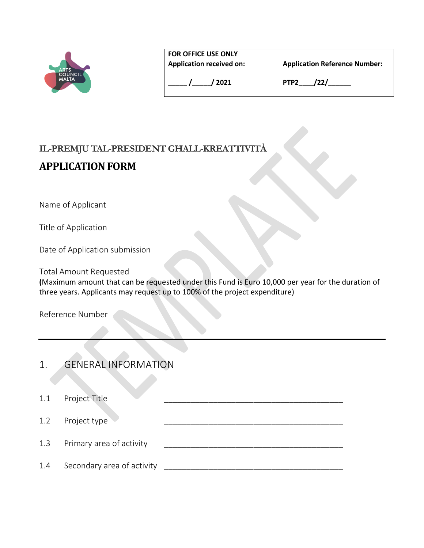|                                               | <b>FOR OFFICE USE ONLY</b>              |                                                                  |  |
|-----------------------------------------------|-----------------------------------------|------------------------------------------------------------------|--|
| <b>ARTS</b><br><b>COUNCIL</b><br><b>MALTA</b> | <b>Application received on:</b><br>2021 | <b>Application Reference Number:</b><br>'22/<br>PTP <sub>2</sub> |  |

# **IL-PREMJU TAL-PRESIDENT GĦALL-KREATTIVITÀ**

# **APPLICATION FORM**

Name of Applicant

Title of Application

Date of Application submission

Total Amount Requested

**(**Maximum amount that can be requested under this Fund is Euro 10,000 per year for the duration of three years. Applicants may request up to 100% of the project expenditure)

Reference Number

| 1. | <b>GENERAL INFORMATION</b> |
|----|----------------------------|
|    |                            |

| 1.1 | Project Title              |  |
|-----|----------------------------|--|
| 1.2 | Project type               |  |
| 1.3 | Primary area of activity   |  |
| 1.4 | Secondary area of activity |  |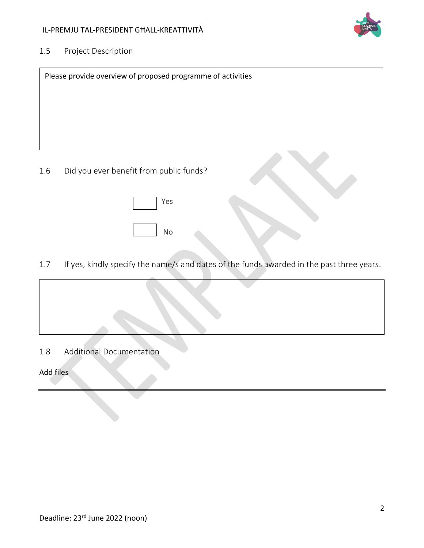

### 1.5 Project Description

| Please provide overview of proposed programme of activities |
|-------------------------------------------------------------|
|                                                             |
|                                                             |
|                                                             |
|                                                             |
| Did vou ever henefit from public funds?                     |

1.6 Did you ever benefit from public funds?

| Yes |
|-----|
|     |
| No  |

1.7 If yes, kindly specify the name/s and dates of the funds awarded in the past three years.



1.8 Additional Documentation

#### Add files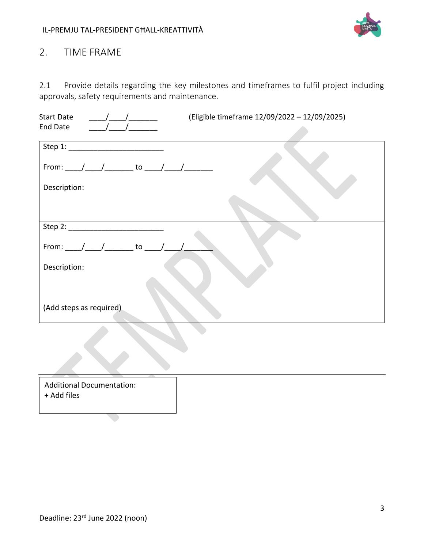

# 2. TIME FRAME

2.1 Provide details regarding the key milestones and timeframes to fulfil project including approvals, safety requirements and maintenance.

| <b>Start Date</b><br>$\sqrt{2}$                       | (Eligible timeframe 12/09/2022 - 12/09/2025) |
|-------------------------------------------------------|----------------------------------------------|
| <b>End Date</b>                                       |                                              |
|                                                       |                                              |
| From: _____/______/________ to _____/______/_________ |                                              |
| Description:                                          |                                              |
|                                                       |                                              |
|                                                       |                                              |
| From: ____/____/________ to _____/____/               |                                              |
| Description:                                          |                                              |
|                                                       |                                              |
| (Add steps as required)                               |                                              |
|                                                       |                                              |

| <b>Additional Documentation:</b><br>+ Add files |  |
|-------------------------------------------------|--|
|                                                 |  |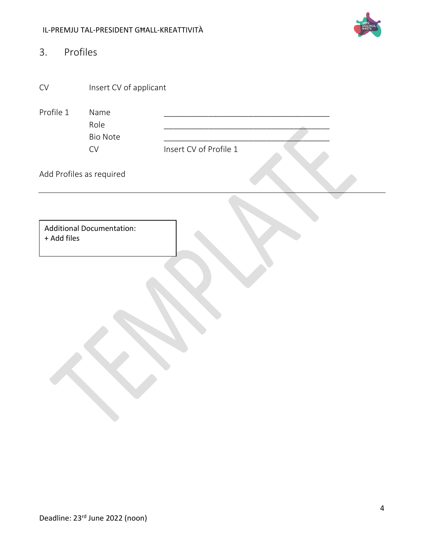#### IL-PREMJU TAL-PRESIDENT GĦALL-KREATTIVITÀ



| 3.          | Profiles                         |                        |
|-------------|----------------------------------|------------------------|
| ${\sf CV}$  | Insert CV of applicant           |                        |
| Profile 1   | Name<br>Role                     |                        |
|             | <b>Bio Note</b>                  |                        |
|             | ${\sf CV}$                       | Insert CV of Profile 1 |
|             | Add Profiles as required         |                        |
| + Add files | <b>Additional Documentation:</b> |                        |
|             |                                  |                        |
|             |                                  |                        |
|             |                                  |                        |
|             |                                  |                        |
|             |                                  |                        |
|             |                                  |                        |
|             |                                  |                        |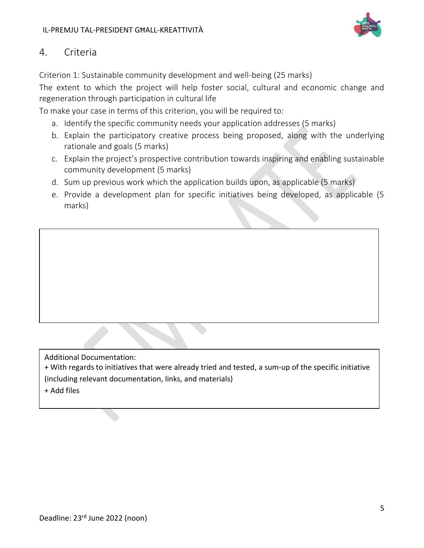

### 4. Criteria

Criterion 1: Sustainable community development and well-being (25 marks)

The extent to which the project will help foster social, cultural and economic change and regeneration through participation in cultural life

To make your case in terms of this criterion, you will be required to:

- a. Identify the specific community needs your application addresses (5 marks)
- b. Explain the participatory creative process being proposed, along with the underlying rationale and goals (5 marks)
- c. Explain the project's prospective contribution towards inspiring and enabling sustainable community development (5 marks)
- d. Sum up previous work which the application builds upon, as applicable (5 marks)
- e. Provide a development plan for specific initiatives being developed, as applicable (5 marks)

Additional Documentation: + With regards to initiatives that were already tried and tested, a sum-up of the specific initiative (including relevant documentation, links, and materials)

+ Add files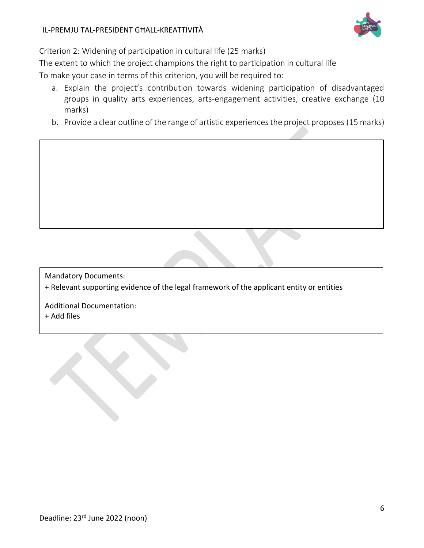

Criterion 2: Widening of participation in cultural life (25 marks)

The extent to which the project champions the right to participation in cultural life

To make your case in terms of this criterion, you will be required to:

- a. Explain the project's contribution towards widening participation of disadvantaged groups in quality arts experiences, arts-engagement activities, creative exchange (10 marks)
- b. Provide a clear outline of the range of artistic experiences the project proposes (15 marks)

Mandatory Documents:

+ Relevant supporting evidence of the legal framework of the applicant entity or entities

Additional Documentation: + Add files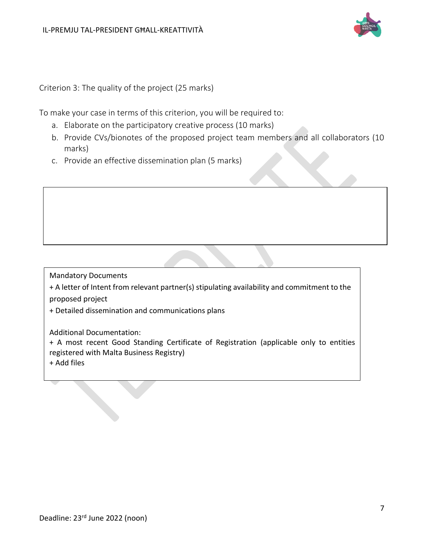

Criterion 3: The quality of the project (25 marks)

To make your case in terms of this criterion, you will be required to:

- a. Elaborate on the participatory creative process (10 marks)
- b. Provide CVs/bionotes of the proposed project team members and all collaborators (10 marks)
- c. Provide an effective dissemination plan (5 marks)

Mandatory Documents

+ A letter of Intent from relevant partner(s) stipulating availability and commitment to the proposed project

+ Detailed dissemination and communications plans

Additional Documentation:

+ A most recent Good Standing Certificate of Registration (applicable only to entities registered with Malta Business Registry)

+ Add files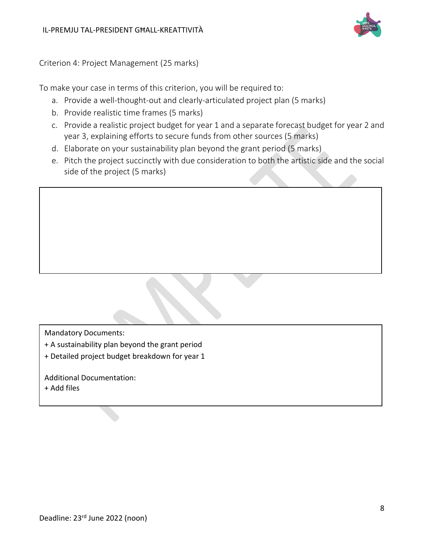

Criterion 4: Project Management (25 marks)

To make your case in terms of this criterion, you will be required to:

- a. Provide a well-thought-out and clearly-articulated project plan (5 marks)
- b. Provide realistic time frames (5 marks)
- c. Provide a realistic project budget for year 1 and a separate forecast budget for year 2 and year 3, explaining efforts to secure funds from other sources (5 marks)
- d. Elaborate on your sustainability plan beyond the grant period (5 marks)
- e. Pitch the project succinctly with due consideration to both the artistic side and the social side of the project (5 marks)

Mandatory Documents:

- + A sustainability plan beyond the grant period
- + Detailed project budget breakdown for year 1

Additional Documentation:

+ Add files